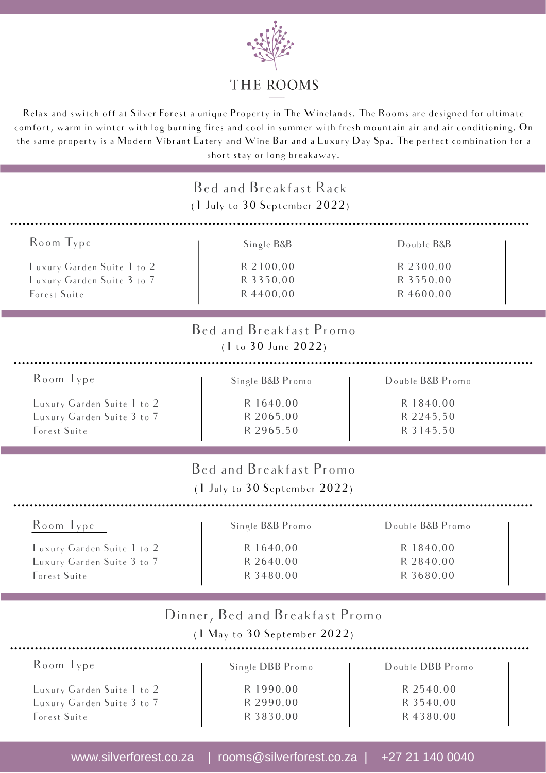

#### THE ROOMS

Relax and switch off at Silver Forest a unique Property in The Winelands. The Rooms are designed for ultimate comfort, warm in winter with log burning fires and cool in summer with fresh mountain air and air conditioning. On the same property is a Modern Vibrant Eatery and Wine Bar and a Luxury Day Spa. The perfect combination for a short stay or long breakaway.

|                            | Bed and Breakfast Rack<br>(1 July to 30 September 2022)         |                  |
|----------------------------|-----------------------------------------------------------------|------------------|
| Room Type                  | Single B&B                                                      | Double B&B       |
| Luxury Garden Suite 1 to 2 | R 2100.00                                                       | R 2300.00        |
| Luxury Garden Suite 3 to 7 | R 3350.00                                                       | R 3550.00        |
| Forest Suite               | R 4400.00                                                       | R 4600.00        |
|                            | Bed and Breakfast Promo<br>(1 to 30 June 2022)                  |                  |
| Room Type                  | Single B&B Promo                                                | Double B&B Promo |
| Luxury Garden Suite 1 to 2 | R 1640.00                                                       | R 1840.00        |
| Luxury Garden Suite 3 to 7 | R 2065.00                                                       | R 2245.50        |
| Forest Suite               | R 2965.50                                                       | R 3145.50        |
|                            | Bed and Breakfast Promo<br>$(1$ July to $30$ September $2022$ ) |                  |
| Room Type                  | Single B&B Promo                                                | Double B&B Promo |
| Luxury Garden Suite 1 to 2 | R 1640.00                                                       | R 1840.00        |
| Luxury Garden Suite 3 to 7 | R 2640.00                                                       | R 2840.00        |
| Forest Suite               | R 3480.00                                                       | R 3680.00        |
|                            | Dinner, Bed and Breakfast Promo<br>(1 May to 30 September 2022) |                  |
| Room Type                  | Single DBB Promo                                                | Double DBB Promo |
| Luxury Garden Suite 1 to 2 | R 1990.00                                                       | R 2540.00        |
| Luxury Garden Suite 3 to 7 | R 2990.00                                                       | R 3540.00        |
| Forest Suite               | R 3830.00                                                       | R 4380.00        |